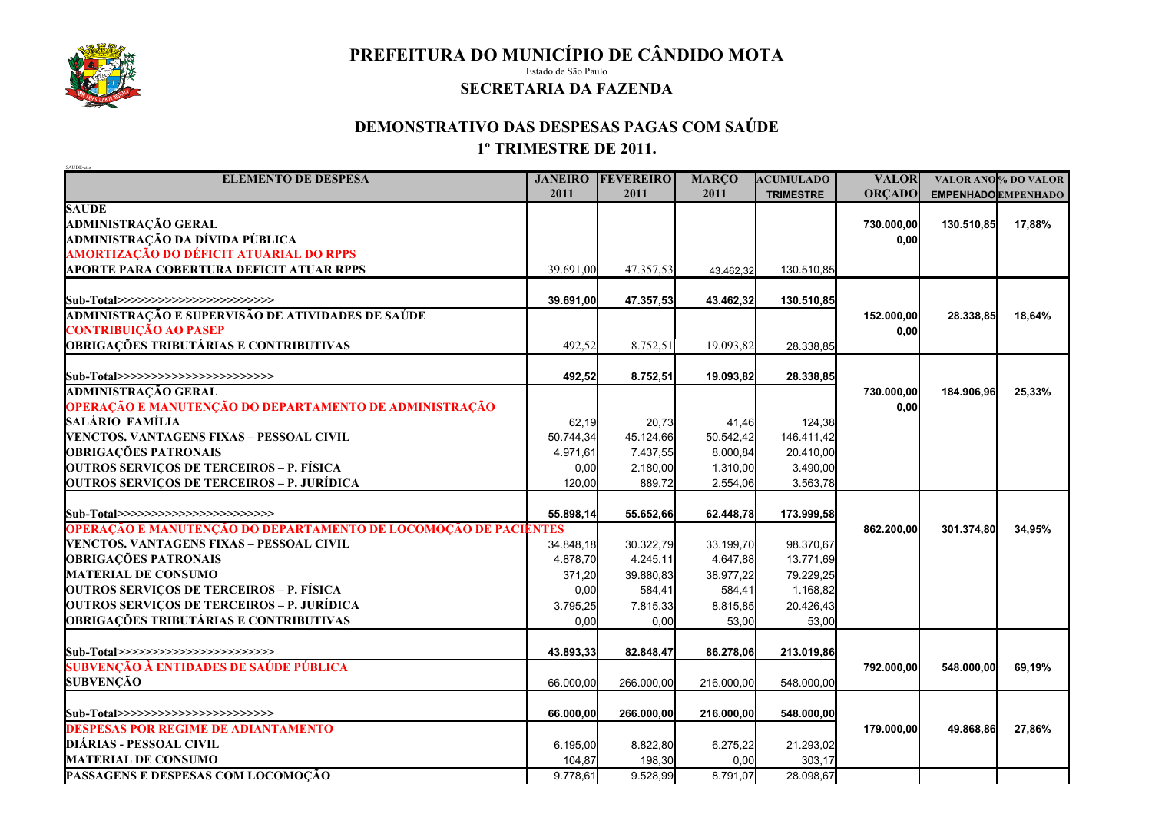

**PREFEITURA DO MUNICÍPIO DE CÂNDIDO MOTA**

Estado de São Paulo

## **SECRETARIA DA FAZENDA**

## **DEMONSTRATIVO DAS DESPESAS PAGAS COM SAÚDE 1º TRIMESTRE DE 2011.**

| SAUDE-etts                                                      |                |                  |              |                  |               |            |                            |
|-----------------------------------------------------------------|----------------|------------------|--------------|------------------|---------------|------------|----------------------------|
| <b>ELEMENTO DE DESPESA</b>                                      | <b>JANEIRO</b> | <b>FEVEREIRO</b> | <b>MARÇO</b> | <b>ACUMULADO</b> | <b>VALOR</b>  |            | VALOR ANO % DO VALOR       |
|                                                                 | 2011           | 2011             | 2011         | <b>TRIMESTRE</b> | <b>ORÇADO</b> |            | <b>EMPENHADO EMPENHADO</b> |
| <b>SAUDE</b>                                                    |                |                  |              |                  |               |            |                            |
| <b>ADMINISTRAÇÃO GERAL</b>                                      |                |                  |              |                  | 730.000,00    | 130.510,85 | 17,88%                     |
| ADMINISTRAÇÃO DA DÍVIDA PÚBLICA                                 |                |                  |              |                  | 0,00          |            |                            |
| AMORTIZAÇÃO DO DÉFICIT ATUARIAL DO RPPS                         |                |                  |              |                  |               |            |                            |
| <b>APORTE PARA COBERTURA DEFICIT ATUAR RPPS</b>                 | 39.691,00      | 47.357,53        | 43.462,32    | 130.510,85       |               |            |                            |
| Sub-Total>>>>>>>>>>>>>>>>>>>>>>>>                               | 39.691,00      | 47.357,53        | 43.462,32    | 130.510,85       |               |            |                            |
| ADMINISTRAÇÃO E SUPERVISÃO DE ATIVIDADES DE SAÚDE               |                |                  |              |                  | 152.000,00    | 28.338,85  | 18,64%                     |
| <b>CONTRIBUIÇÃO AO PASEP</b>                                    |                |                  |              |                  | 0,00          |            |                            |
| <b>OBRIGAÇÕES TRIBUTÁRIAS E CONTRIBUTIVAS</b>                   | 492,52         | 8.752,51         | 19.093,82    | 28.338,85        |               |            |                            |
|                                                                 |                |                  |              |                  |               |            |                            |
| Sub-Total>>>>>>>>>>>>>>>>>>>>>>>>                               | 492,52         | 8.752,51         | 19.093,82    | 28.338,85        |               |            |                            |
| <b>ADMINISTRAÇÃO GERAL</b>                                      |                |                  |              |                  | 730.000,00    | 184.906,96 | 25,33%                     |
| OPERAÇÃO E MANUTENÇÃO DO DEPARTAMENTO DE ADMINISTRAÇÃO          |                |                  |              |                  | 0,00          |            |                            |
| SALÁRIO FAMÍLIA                                                 | 62,19          | 20,73            | 41,46        | 124,38           |               |            |                            |
| VENCTOS. VANTAGENS FIXAS - PESSOAL CIVIL                        | 50.744,34      | 45.124,66        | 50.542,42    | 146.411,42       |               |            |                            |
| <b>OBRIGAÇÕES PATRONAIS</b>                                     | 4.971,61       | 7.437,55         | 8.000,84     | 20.410,00        |               |            |                            |
| <b>OUTROS SERVIÇOS DE TERCEIROS - P. FÍSICA</b>                 | 0,00           | 2.180,00         | 1.310,00     | 3.490,00         |               |            |                            |
| <b>OUTROS SERVIÇOS DE TERCEIROS - P. JURÍDICA</b>               | 120,00         | 889,72           | 2.554,06     | 3.563,78         |               |            |                            |
|                                                                 |                |                  |              |                  |               |            |                            |
| Sub-Total>>>>>>>>>>>>>>>>>>>>>>>>>                              | 55.898,14      | 55.652,66        | 62.448,78    | 173.999,58       |               |            |                            |
| OPERAÇÃO E MANUTENÇÃO DO DEPARTAMENTO DE LOCOMOÇÃO DE PACIENTES |                |                  |              |                  | 862.200,00    | 301.374,80 | 34,95%                     |
| VENCTOS. VANTAGENS FIXAS - PESSOAL CIVIL                        | 34.848,18      | 30.322,79        | 33.199,70    | 98.370,67        |               |            |                            |
| <b>OBRIGAÇÕES PATRONAIS</b>                                     | 4.878,70       | 4.245,11         | 4.647,88     | 13.771,69        |               |            |                            |
| <b>MATERIAL DE CONSUMO</b>                                      | 371,20         | 39.880,83        | 38.977,22    | 79.229,25        |               |            |                            |
| <b>OUTROS SERVIÇOS DE TERCEIROS - P. FÍSICA</b>                 | 0,00           | 584,41           | 584,41       | 1.168,82         |               |            |                            |
| <b>OUTROS SERVIÇOS DE TERCEIROS - P. JURÍDICA</b>               | 3.795,25       | 7.815,33         | 8.815,85     | 20.426,43        |               |            |                            |
| <b>OBRIGAÇÕES TRIBUTÁRIAS E CONTRIBUTIVAS</b>                   | 0,00           | 0,00             | 53,00        | 53,00            |               |            |                            |
|                                                                 |                |                  |              |                  |               |            |                            |
| Sub-Total>>>>>>>>>>>>>>>>>>>>>>>>                               | 43.893,33      | 82.848,47        | 86.278,06    | 213.019,86       |               |            |                            |
| <b>SUBVENCÃO À ENTIDADES DE SAÚDE PÚBLICA</b>                   |                |                  |              |                  | 792.000,00    | 548.000,00 | 69,19%                     |
| <b>SUBVENÇÃO</b>                                                | 66.000,00      | 266.000,00       | 216.000,00   | 548.000,00       |               |            |                            |
|                                                                 |                |                  |              |                  |               |            |                            |
| Sub-Total>>>>>>>>>>>>>>>>>>>>>>>>                               | 66.000,00      | 266.000,00       | 216.000,00   | 548.000,00       |               |            |                            |
| <b>DESPESAS POR REGIME DE ADIANTAMENTO</b>                      |                |                  |              |                  | 179.000,00    | 49.868,86  | 27,86%                     |
| DIÁRIAS - PESSOAL CIVIL                                         | 6.195,00       | 8.822,80         | 6.275,22     | 21.293,02        |               |            |                            |
| <b>MATERIAL DE CONSUMO</b>                                      | 104,87         | 198,30           | 0,00         | 303,17           |               |            |                            |
| PASSAGENS E DESPESAS COM LOCOMOÇÃO                              | 9.778,61       | 9.528,99         | 8.791,07     | 28.098,67        |               |            |                            |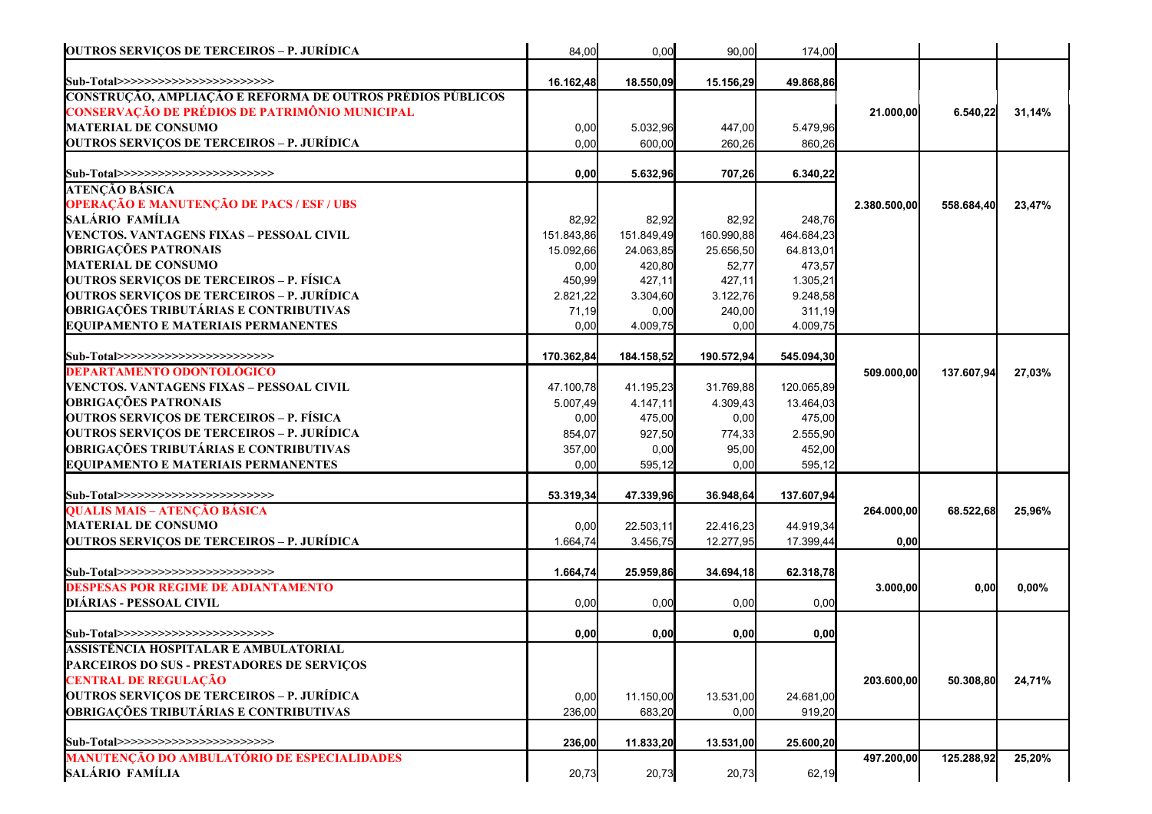| <b>OUTROS SERVIÇOS DE TERCEIROS – P. JURÍDICA</b>          | 84,00      | 0,00       | 90,00      | 174,00     |              |            |        |
|------------------------------------------------------------|------------|------------|------------|------------|--------------|------------|--------|
| Sub-Total>>>>>>>>>>>>>>>>>>>>>>>>                          | 16.162,48  | 18.550,09  | 15.156,29  | 49.868,86  |              |            |        |
| CONSTRUÇÃO, AMPLIAÇÃO E REFORMA DE OUTROS PRÉDIOS PÚBLICOS |            |            |            |            |              |            |        |
| CONSERVAÇÃO DE PRÉDIOS DE PATRIMÔNIO MUNICIPAL             |            |            |            |            | 21.000,00    | 6.540,22   | 31,14% |
| <b>MATERIAL DE CONSUMO</b>                                 | 0,00       | 5.032,96   | 447,00     | 5.479,96   |              |            |        |
| <b>OUTROS SERVIÇOS DE TERCEIROS – P. JURÍDICA</b>          | 0,00       | 600,00     | 260,26     | 860,26     |              |            |        |
| Sub-Total>>>>>>>>>>>>>>>>>>>>>>>>                          | 0,00       | 5.632,96   | 707,26     | 6.340,22   |              |            |        |
| <b>ATENÇÃO BÁSICA</b>                                      |            |            |            |            |              |            |        |
| OPERAÇÃO E MANUTENÇÃO DE PACS / ESF / UBS                  |            |            |            |            | 2.380.500,00 | 558.684,40 | 23,47% |
| SALÁRIO FAMÍLIA                                            | 82,92      | 82,92      | 82,92      | 248,76     |              |            |        |
| VENCTOS. VANTAGENS FIXAS - PESSOAL CIVIL                   | 151.843,86 | 151.849,49 | 160.990,88 | 464.684,23 |              |            |        |
| <b>OBRIGAÇÕES PATRONAIS</b>                                | 15.092,66  | 24.063,85  | 25.656,50  | 64.813,01  |              |            |        |
| <b>MATERIAL DE CONSUMO</b>                                 | 0,00       | 420,80     | 52,77      | 473,57     |              |            |        |
| <b>OUTROS SERVIÇOS DE TERCEIROS - P. FÍSICA</b>            | 450,99     | 427,11     | 427,11     | 1.305,21   |              |            |        |
| OUTROS SERVIÇOS DE TERCEIROS – P. JURÍDICA                 | 2.821,22   | 3.304,60   | 3.122,76   | 9.248,58   |              |            |        |
| <b>OBRIGAÇÕES TRIBUTÁRIAS E CONTRIBUTIVAS</b>              | 71,19      | 0,00       | 240,00     | 311,19     |              |            |        |
| <b>EQUIPAMENTO E MATERIAIS PERMANENTES</b>                 | 0,00       | 4.009,75   | 0,00       | 4.009,75   |              |            |        |
|                                                            |            |            |            |            |              |            |        |
| Sub-Total>>>>>>>>>>>>>>>>>>>>>>>>                          | 170.362,84 | 184.158,52 | 190.572,94 | 545.094,30 |              |            |        |
| <b>DEPARTAMENTO ODONTOLÓGICO</b>                           |            |            |            |            | 509.000,00   | 137.607,94 | 27,03% |
| VENCTOS. VANTAGENS FIXAS – PESSOAL CIVIL                   | 47.100,78  | 41.195,23  | 31.769,88  | 120.065,89 |              |            |        |
| <b>OBRIGAÇÕES PATRONAIS</b>                                | 5.007,49   | 4.147,11   | 4.309,43   | 13.464,03  |              |            |        |
| <b>OUTROS SERVIÇOS DE TERCEIROS - P. FÍSICA</b>            | 0,00       | 475,00     | 0,00       | 475,00     |              |            |        |
| OUTROS SERVIÇOS DE TERCEIROS – P. JURÍDICA                 | 854,07     | 927,50     | 774,33     | 2.555,90   |              |            |        |
| <b>OBRIGAÇÕES TRIBUTÁRIAS E CONTRIBUTIVAS</b>              | 357,00     | 0,00       | 95,00      | 452,00     |              |            |        |
| <b>EQUIPAMENTO E MATERIAIS PERMANENTES</b>                 | 0,00       | 595,12     | 0,00       | 595,12     |              |            |        |
| Sub-Total>>>>>>>>>>>>>>>>>>>>>>>>>                         | 53.319,34  | 47.339,96  | 36.948,64  | 137.607,94 |              |            |        |
| <b>QUALIS MAIS – ATENÇÃO BÁSICA</b>                        |            |            |            |            | 264.000,00   | 68.522,68  | 25,96% |
| <b>MATERIAL DE CONSUMO</b>                                 | 0,00       | 22.503,11  | 22.416,23  | 44.919,34  |              |            |        |
| <b>OUTROS SERVIÇOS DE TERCEIROS – P. JURÍDICA</b>          | 1.664,74   | 3.456,75   | 12.277,95  | 17.399,44  | 0,00         |            |        |
|                                                            |            |            |            |            |              |            |        |
| Sub-Total>>>>>>>>>>>>>>>>>>>>>>>>                          | 1.664,74   | 25.959,86  | 34.694,18  | 62.318,78  |              |            |        |
| <b>DESPESAS POR REGIME DE ADIANTAMENTO</b>                 |            |            |            |            | 3.000,00     | 0,00       | 0,00%  |
| <b>DIÁRIAS - PESSOAL CIVIL</b>                             | 0,00       | 0,00       | 0,00       | 0,00       |              |            |        |
| Sub-Total>>>>>>>>>>>>>>>>>>>>>>>>                          | 0,00       | 0,00       | 0,00       | 0,00       |              |            |        |
| ASSISTÊNCIA HOSPITALAR E AMBULATORIAL                      |            |            |            |            |              |            |        |
| <b>PARCEIROS DO SUS - PRESTADORES DE SERVIÇOS</b>          |            |            |            |            |              |            |        |
| <b>CENTRAL DE REGULAÇÃO</b>                                |            |            |            |            | 203.600,00   | 50.308,80  | 24,71% |
| <b>OUTROS SERVIÇOS DE TERCEIROS - P. JURÍDICA</b>          | 0,00       | 11.150,00  | 13.531,00  | 24.681,00  |              |            |        |
| <b>OBRIGAÇÕES TRIBUTÁRIAS E CONTRIBUTIVAS</b>              | 236,00     | 683,20     | 0,00       | 919,20     |              |            |        |
|                                                            |            |            |            |            |              |            |        |
| Sub-Total>>>>>>>>>>>>>>>>>>>>>>>>>                         | 236,00     | 11.833,20  | 13.531,00  | 25.600,20  |              |            |        |
| <b>MANUTENÇÃO DO AMBULATÓRIO DE ESPECIALIDADES</b>         |            |            |            |            | 497.200,00   | 125.288,92 | 25,20% |
| SALÁRIO FAMÍLIA                                            | 20,73      | 20,73      | 20,73      | 62,19      |              |            |        |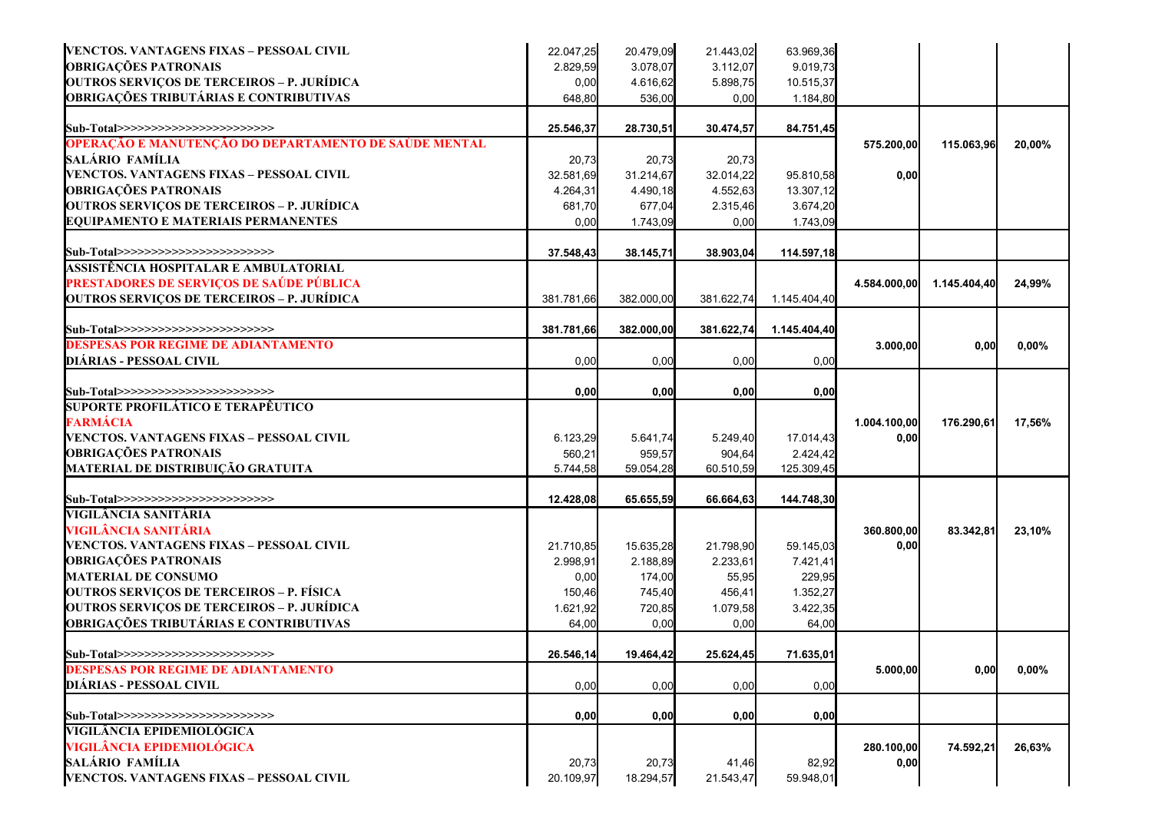| VENCTOS. VANTAGENS FIXAS - PESSOAL CIVIL              | 22.047,25  | 20.479,09  | 21.443,02  | 63.969,36    |              |              |        |
|-------------------------------------------------------|------------|------------|------------|--------------|--------------|--------------|--------|
| <b>OBRIGAÇÕES PATRONAIS</b>                           | 2.829,59   | 3.078,07   | 3.112,07   | 9.019,73     |              |              |        |
| <b>OUTROS SERVIÇOS DE TERCEIROS - P. JURÍDICA</b>     | 0,00       | 4.616,62   | 5.898,75   | 10.515,37    |              |              |        |
| <b>OBRIGAÇÕES TRIBUTÁRIAS E CONTRIBUTIVAS</b>         | 648,80     | 536,00     | 0,00       | 1.184,80     |              |              |        |
| Sub-Total>>>>>>>>>>>>>>>>>>>>>>>>                     | 25.546,37  | 28.730,51  | 30.474,57  | 84.751,45    |              |              |        |
| OPERAÇÃO E MANUTENÇÃO DO DEPARTAMENTO DE SAÚDE MENTAL |            |            |            |              | 575.200,00   | 115.063,96   | 20,00% |
| SALÁRIO FAMÍLIA                                       | 20,73      | 20,73      | 20,73      |              |              |              |        |
| VENCTOS. VANTAGENS FIXAS - PESSOAL CIVIL              | 32.581,69  | 31.214,67  | 32.014,22  | 95.810,58    | 0,00         |              |        |
| <b>OBRIGAÇÕES PATRONAIS</b>                           | 4.264,31   | 4.490,18   | 4.552,63   | 13.307,12    |              |              |        |
| <b>OUTROS SERVIÇOS DE TERCEIROS - P. JURÍDICA</b>     | 681,70     | 677,04     | 2.315,46   | 3.674,20     |              |              |        |
| <b>EQUIPAMENTO E MATERIAIS PERMANENTES</b>            | 0,00       | 1.743,09   | 0,00       | 1.743,09     |              |              |        |
| Sub-Total>>>>>>>>>>>>>>>>>>>>>>>>                     | 37.548,43  | 38.145,71  | 38.903,04  | 114.597,18   |              |              |        |
| ASSISTÊNCIA HOSPITALAR E AMBULATORIAL                 |            |            |            |              |              |              |        |
| PRESTADORES DE SERVIÇOS DE SAÚDE PÚBLICA              |            |            |            |              | 4.584.000,00 | 1.145.404,40 | 24,99% |
| <b>OUTROS SERVIÇOS DE TERCEIROS - P. JURÍDICA</b>     | 381.781,66 | 382.000,00 | 381.622,74 | 1.145.404,40 |              |              |        |
| Sub-Total>>>>>>>>>>>>>>>>>>>>>>>>>                    | 381.781,66 | 382.000,00 | 381.622,74 | 1.145.404,40 |              |              |        |
| <b>DESPESAS POR REGIME DE ADIANTAMENTO</b>            |            |            |            |              | 3.000,00     | 0,00         | 0,00%  |
| <b>DIÁRIAS - PESSOAL CIVIL</b>                        | 0,00       | 0,00       | 0,00       | 0,00         |              |              |        |
| Sub-Total>>>>>>>>>>>>>>>>>>>>>>>>                     | 0,00       | 0,00       | 0,00       | 0,00         |              |              |        |
| <b>SUPORTE PROFILÁTICO E TERAPÊUTICO</b>              |            |            |            |              |              |              |        |
| <b>FARMÁCIA</b>                                       |            |            |            |              | 1.004.100,00 | 176.290,61   | 17,56% |
| VENCTOS. VANTAGENS FIXAS - PESSOAL CIVIL              | 6.123,29   | 5.641,74   | 5.249,40   | 17.014,43    | 0,00         |              |        |
| <b>OBRIGAÇÕES PATRONAIS</b>                           | 560,21     | 959,57     | 904,64     | 2.424,42     |              |              |        |
| MATERIAL DE DISTRIBUIÇÃO GRATUITA                     | 5.744,58   | 59.054,28  | 60.510,59  | 125.309,45   |              |              |        |
| Sub-Total>>>>>>>>>>>>>>>>>>>>>>>>>                    | 12.428,08  | 65.655,59  | 66.664,63  | 144.748,30   |              |              |        |
| VIGILÂNCIA SANITÁRIA                                  |            |            |            |              |              |              |        |
| VIGILÂNCIA SANITÁRIA                                  |            |            |            |              | 360.800,00   | 83.342,81    | 23,10% |
| VENCTOS. VANTAGENS FIXAS - PESSOAL CIVIL              | 21.710,85  | 15.635,28  | 21.798,90  | 59.145,03    | 0,00         |              |        |
| <b>OBRIGAÇÕES PATRONAIS</b>                           | 2.998,91   | 2.188,89   | 2.233,61   | 7.421,41     |              |              |        |
| <b>MATERIAL DE CONSUMO</b>                            | 0,00       | 174,00     | 55,95      | 229,95       |              |              |        |
| <b>OUTROS SERVIÇOS DE TERCEIROS - P. FÍSICA</b>       | 150,46     | 745,40     | 456,41     | 1.352,27     |              |              |        |
| <b>OUTROS SERVIÇOS DE TERCEIROS - P. JURÍDICA</b>     | 1.621,92   | 720,85     | 1.079,58   | 3.422,35     |              |              |        |
| <b>OBRIGAÇÕES TRIBUTÁRIAS E CONTRIBUTIVAS</b>         | 64,00      | 0,00       | 0,00       | 64,00        |              |              |        |
| Sub-Total>>>>>>>>>>>>>>>>>>>>>>>>>                    | 26.546,14  | 19.464,42  | 25.624,45  | 71.635,01    |              |              |        |
| <b>DESPESAS POR REGIME DE ADIANTAMENTO</b>            |            |            |            |              | 5.000,00     | 0,00         | 0,00%  |
| <b>DIÁRIAS - PESSOAL CIVIL</b>                        | 0,00       | 0,00       | 0,00       | 0,00         |              |              |        |
| Sub-Total>>>>>>>>>>>>>>>>>>>>>>>>>                    | 0,00       | 0,00       | 0,00       | 0,00         |              |              |        |
| VIGILÂNCIA EPIDEMIOLÓGICA                             |            |            |            |              |              |              |        |
| <b>VIGILÂNCIA EPIDEMIOLÓGICA</b>                      |            |            |            |              | 280.100,00   | 74.592,21    | 26,63% |
| SALÁRIO FAMÍLIA                                       | 20,73      | 20,73      | 41,46      | 82,92        | 0,00         |              |        |
| VENCTOS. VANTAGENS FIXAS - PESSOAL CIVIL              | 20.109,97  | 18.294,57  | 21.543,47  | 59.948,01    |              |              |        |